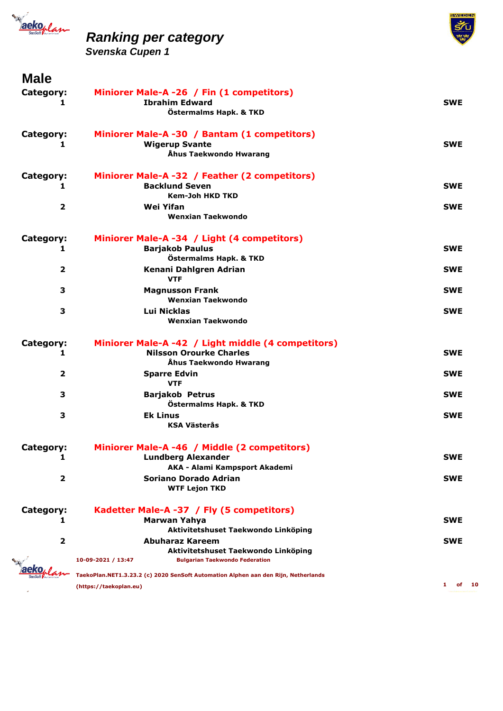



| <b>Male</b>             |                                                                                                                       |                          |
|-------------------------|-----------------------------------------------------------------------------------------------------------------------|--------------------------|
| Category:<br>1          | Miniorer Male-A -26 / Fin (1 competitors)<br><b>Ibrahim Edward</b><br>Östermalms Hapk. & TKD                          | <b>SWE</b>               |
| Category:<br>1          | Miniorer Male-A -30 / Bantam (1 competitors)<br><b>Wigerup Svante</b>                                                 | <b>SWE</b>               |
|                         | Åhus Taekwondo Hwarang                                                                                                |                          |
| Category:<br>1          | Miniorer Male-A -32 / Feather (2 competitors)<br><b>Backlund Seven</b>                                                | <b>SWE</b>               |
| $\overline{\mathbf{2}}$ | <b>Kem-Joh HKD TKD</b><br>Wei Yifan<br>Wenxian Taekwondo                                                              | <b>SWE</b>               |
| Category:<br>1          | Miniorer Male-A -34 / Light (4 competitors)<br><b>Barjakob Paulus</b>                                                 | <b>SWE</b>               |
|                         | Östermalms Hapk. & TKD                                                                                                |                          |
| 2                       | Kenani Dahlgren Adrian<br><b>VTF</b>                                                                                  | <b>SWE</b>               |
| 3                       | <b>Magnusson Frank</b><br><b>Wenxian Taekwondo</b>                                                                    | <b>SWE</b>               |
| З                       | <b>Lui Nicklas</b><br>Wenxian Taekwondo                                                                               | <b>SWE</b>               |
| Category:<br>1          | Miniorer Male-A -42 / Light middle (4 competitors)<br><b>Nilsson Orourke Charles</b><br>Åhus Taekwondo Hwarang        | <b>SWE</b>               |
| $\overline{\mathbf{2}}$ | <b>Sparre Edvin</b><br><b>VTF</b>                                                                                     | <b>SWE</b>               |
| 3                       | <b>Barjakob Petrus</b><br>Östermalms Hapk. & TKD                                                                      | <b>SWE</b>               |
| 3                       | <b>Ek Linus</b><br><b>KSA Västerås</b>                                                                                | <b>SWE</b>               |
| <b>Category:</b>        | Miniorer Male-A -46 / Middle (2 competitors)                                                                          |                          |
| 1                       | <b>Lundberg Alexander</b><br>AKA - Alami Kampsport Akademi                                                            | <b>SWE</b>               |
| 2                       | Soriano Dorado Adrian<br><b>WTF Lejon TKD</b>                                                                         | <b>SWE</b>               |
| Category:<br>1          | Kadetter Male-A -37 / Fly (5 competitors)<br><b>Marwan Yahya</b>                                                      | <b>SWE</b>               |
|                         | Aktivitetshuset Taekwondo Linköping                                                                                   |                          |
| $\overline{\mathbf{2}}$ | Abuharaz Kareem<br>Aktivitetshuset Taekwondo Linköping<br><b>Bulgarian Taekwondo Federation</b><br>10-09-2021 / 13:47 | <b>SWE</b>               |
|                         | TaekoPlan.NET1.3.23.2 (c) 2020 SenSoft Automation Alphen aan den Rijn, Netherlands                                    |                          |
|                         | (https://taekoplan.eu)                                                                                                | $\mathbf{1}$<br>of<br>10 |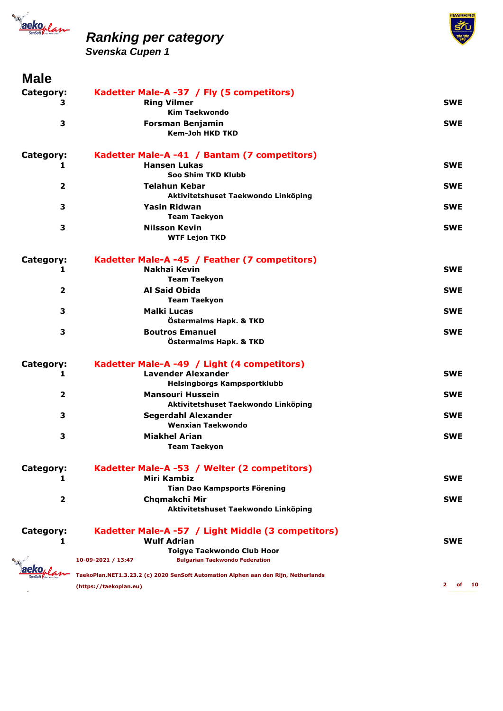



| <b>SWE</b><br><b>SWE</b><br><b>SWE</b> |
|----------------------------------------|
|                                        |
|                                        |
|                                        |
|                                        |
|                                        |
|                                        |
|                                        |
|                                        |
| <b>SWE</b>                             |
|                                        |
| <b>SWE</b>                             |
|                                        |
| <b>SWE</b>                             |
|                                        |
|                                        |
| <b>SWE</b>                             |
|                                        |
| <b>SWE</b>                             |
|                                        |
| <b>SWE</b>                             |
|                                        |
| <b>SWE</b>                             |
|                                        |
|                                        |
| <b>SWE</b>                             |
|                                        |
| <b>SWE</b>                             |
|                                        |
| <b>SWE</b>                             |
|                                        |
| <b>SWE</b>                             |
|                                        |
|                                        |
|                                        |
| SWE                                    |
|                                        |
| <b>SWE</b>                             |
|                                        |
|                                        |
| SWE                                    |
|                                        |
|                                        |
|                                        |
| $\mathbf{2}$<br>of                     |
|                                        |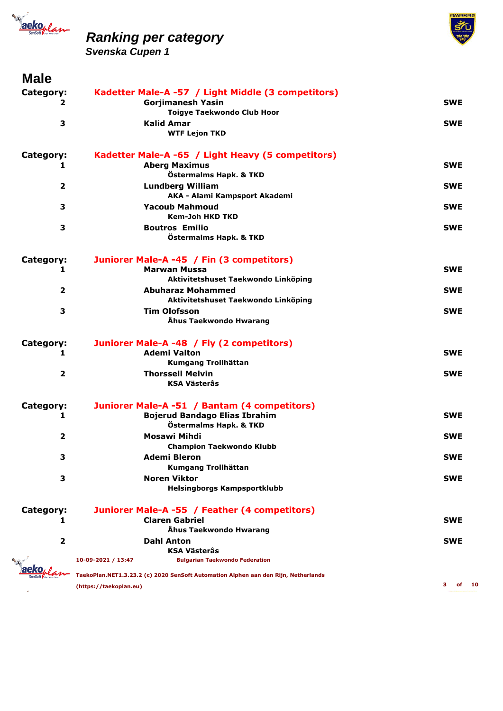



| <b>Male</b>             |                                                                                    |            |
|-------------------------|------------------------------------------------------------------------------------|------------|
| Category:               | Kadetter Male-A -57 / Light Middle (3 competitors)                                 |            |
| 2                       | <b>Gorjimanesh Yasin</b>                                                           | <b>SWE</b> |
|                         | <b>Toigye Taekwondo Club Hoor</b>                                                  |            |
| 3                       | <b>Kalid Amar</b>                                                                  | <b>SWE</b> |
|                         | <b>WTF Lejon TKD</b>                                                               |            |
| Category:               | Kadetter Male-A -65 / Light Heavy (5 competitors)                                  |            |
| 1                       | <b>Aberg Maximus</b>                                                               | <b>SWE</b> |
|                         | Östermalms Hapk. & TKD                                                             |            |
| 2                       | <b>Lundberg William</b>                                                            | <b>SWE</b> |
|                         | AKA - Alami Kampsport Akademi                                                      |            |
| З                       | <b>Yacoub Mahmoud</b>                                                              | <b>SWE</b> |
|                         | <b>Kem-Joh HKD TKD</b>                                                             |            |
| З                       | <b>Boutros Emilio</b>                                                              | <b>SWE</b> |
|                         | Östermalms Hapk. & TKD                                                             |            |
| Category:               | Juniorer Male-A -45 / Fin (3 competitors)                                          |            |
| 1                       | <b>Marwan Mussa</b>                                                                | <b>SWE</b> |
|                         | Aktivitetshuset Taekwondo Linköping                                                |            |
| $\overline{2}$          | <b>Abuharaz Mohammed</b>                                                           | <b>SWE</b> |
|                         | Aktivitetshuset Taekwondo Linköping                                                |            |
| З                       | <b>Tim Olofsson</b>                                                                | <b>SWE</b> |
|                         | Åhus Taekwondo Hwarang                                                             |            |
| Category:               | Juniorer Male-A -48 / Fly (2 competitors)                                          |            |
| 1                       | <b>Ademi Valton</b>                                                                | <b>SWE</b> |
|                         | Kumgang Trollhättan                                                                |            |
| $\overline{\mathbf{2}}$ | <b>Thorssell Melvin</b>                                                            | <b>SWE</b> |
|                         | <b>KSA Västerås</b>                                                                |            |
| Category:               | Juniorer Male-A -51 / Bantam (4 competitors)                                       |            |
| 1                       | <b>Bojerud Bandago Elias Ibrahim</b>                                               | <b>SWE</b> |
|                         | Östermalms Hapk. & TKD                                                             |            |
| 2                       | Mosawi Mihdi                                                                       | <b>SWE</b> |
|                         | <b>Champion Taekwondo Klubb</b>                                                    |            |
| з                       | <b>Ademi Bleron</b>                                                                | <b>SWE</b> |
|                         | Kumgang Trollhättan                                                                |            |
| 3                       | <b>Noren Viktor</b>                                                                | <b>SWE</b> |
|                         | Helsingborgs Kampsportklubb                                                        |            |
| Category:               | Juniorer Male-A -55 / Feather (4 competitors)                                      |            |
| 1                       | <b>Claren Gabriel</b>                                                              | <b>SWE</b> |
|                         | Åhus Taekwondo Hwarang                                                             |            |
| 2                       | <b>Dahl Anton</b>                                                                  | <b>SWE</b> |
|                         | KSA Västerås                                                                       |            |
|                         | 10-09-2021 / 13:47<br><b>Bulgarian Taekwondo Federation</b>                        |            |
|                         | TaekoPlan.NET1.3.23.2 (c) 2020 SenSoft Automation Alphen aan den Rijn, Netherlands |            |
|                         | (https://taekoplan.eu)                                                             | з          |
|                         |                                                                                    |            |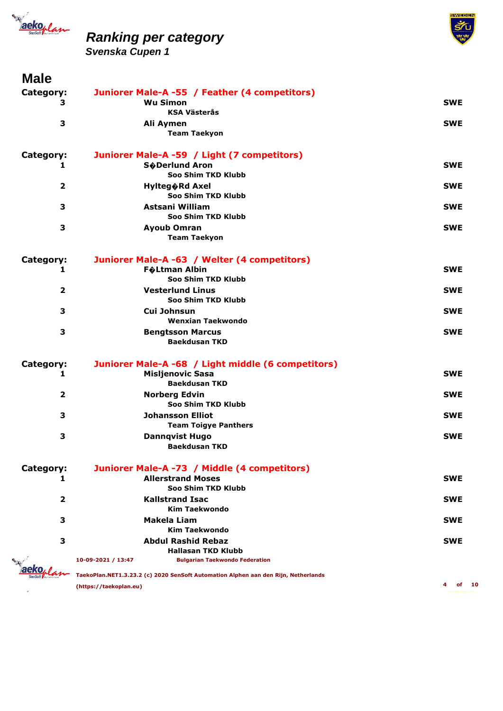



| <b>IVIQIC</b>           |                                                                                    |            |
|-------------------------|------------------------------------------------------------------------------------|------------|
| Category:               | Juniorer Male-A -55 / Feather (4 competitors)                                      |            |
| З                       | <b>Wu Simon</b>                                                                    | <b>SWE</b> |
|                         | <b>KSA Västerås</b>                                                                |            |
| 3                       | Ali Aymen                                                                          | <b>SWE</b> |
|                         | <b>Team Taekyon</b>                                                                |            |
| Category:               | Juniorer Male-A -59 / Light (7 competitors)                                        |            |
| 1                       | <b>S</b> �Derlund Aron                                                             | <b>SWE</b> |
|                         | Soo Shim TKD Klubb                                                                 |            |
| $\overline{\mathbf{2}}$ | <b>Hylteg</b> ORd Axel                                                             | <b>SWE</b> |
|                         | Soo Shim TKD Klubb                                                                 |            |
| 3                       | Astsani William                                                                    | <b>SWE</b> |
|                         | Soo Shim TKD Klubb                                                                 |            |
| 3                       | <b>Ayoub Omran</b>                                                                 | <b>SWE</b> |
|                         | <b>Team Taekyon</b>                                                                |            |
| Category:               | Juniorer Male-A -63 / Welter (4 competitors)                                       |            |
| 1                       | <b>F</b> �Ltman Albin                                                              | <b>SWE</b> |
|                         | Soo Shim TKD Klubb                                                                 |            |
| 2                       | <b>Vesterlund Linus</b>                                                            | <b>SWE</b> |
|                         | Soo Shim TKD Klubb                                                                 |            |
| 3                       | Cui Johnsun                                                                        | <b>SWE</b> |
|                         | Wenxian Taekwondo                                                                  |            |
| 3                       | <b>Bengtsson Marcus</b>                                                            | <b>SWE</b> |
|                         | <b>Baekdusan TKD</b>                                                               |            |
| Category:               | Juniorer Male-A -68 / Light middle (6 competitors)                                 |            |
| 1                       | <b>Misljenovic Sasa</b>                                                            | <b>SWE</b> |
|                         | <b>Baekdusan TKD</b>                                                               |            |
| $\overline{\mathbf{2}}$ | <b>Norberg Edvin</b>                                                               | <b>SWE</b> |
|                         | Soo Shim TKD Klubb                                                                 |            |
| з                       | <b>Johansson Elliot</b>                                                            | <b>SWE</b> |
|                         | <b>Team Toigye Panthers</b>                                                        |            |
| 3                       | <b>Dannqvist Hugo</b>                                                              | <b>SWE</b> |
|                         | <b>Baekdusan TKD</b>                                                               |            |
| Category:               | Juniorer Male-A -73 / Middle (4 competitors)                                       |            |
| 1                       | <b>Allerstrand Moses</b>                                                           | SWE        |
|                         | Soo Shim TKD Klubb                                                                 |            |
| 2                       | <b>Kallstrand Isac</b>                                                             | SWE        |
|                         | <b>Kim Taekwondo</b>                                                               |            |
| 3                       | Makela Liam                                                                        | <b>SWE</b> |
|                         | <b>Kim Taekwondo</b>                                                               |            |
| 3                       | <b>Abdul Rashid Rebaz</b>                                                          | <b>SWE</b> |
|                         | <b>Hallasan TKD Klubb</b>                                                          |            |
|                         | 10-09-2021 / 13:47<br><b>Bulgarian Taekwondo Federation</b>                        |            |
|                         | TaekoPlan.NET1.3.23.2 (c) 2020 SenSoft Automation Alphen aan den Rijn, Netherlands |            |
|                         | (https://taekoplan.eu)                                                             |            |
|                         |                                                                                    |            |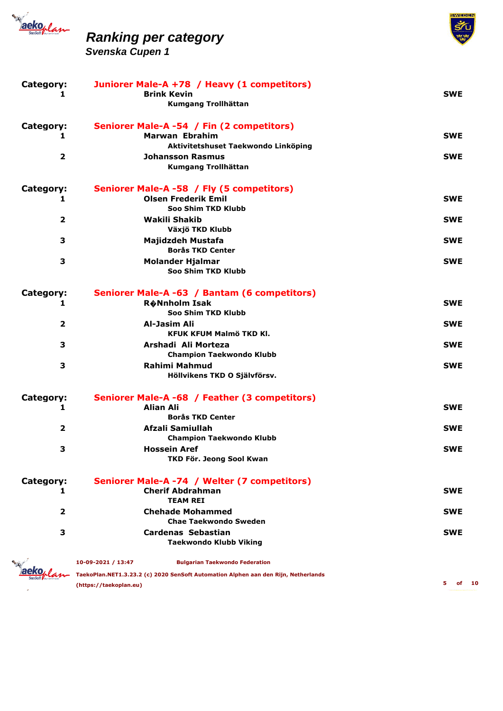

 $\mathcal{L}_{\mathcal{A}}$ 

### *Ranking per category*



| Category:<br>1          | Juniorer Male-A +78 / Heavy (1 competitors)<br><b>Brink Kevin</b><br>Kumgang Trollhättan           | <b>SWE</b>       |
|-------------------------|----------------------------------------------------------------------------------------------------|------------------|
| Category:<br>1          | Seniorer Male-A -54 / Fin (2 competitors)<br>Marwan Ebrahim<br>Aktivitetshuset Taekwondo Linköping | <b>SWE</b>       |
| 2                       | <b>Johansson Rasmus</b><br>Kumgang Trollhättan                                                     | <b>SWE</b>       |
| Category:<br>1          | Seniorer Male-A -58 / Fly (5 competitors)<br><b>Olsen Frederik Emil</b>                            | <b>SWE</b>       |
| $\overline{\mathbf{2}}$ | Soo Shim TKD Klubb<br>Wakili Shakib                                                                | <b>SWE</b>       |
| 3                       | Växjö TKD Klubb<br>Majidzdeh Mustafa                                                               | <b>SWE</b>       |
| 3                       | <b>Borås TKD Center</b><br><b>Molander Hjalmar</b><br>Soo Shim TKD Klubb                           | <b>SWE</b>       |
| Category:<br>1          | Seniorer Male-A -63 / Bantam (6 competitors)<br><b>R</b> �Nnholm Isak<br>Soo Shim TKD Klubb        | <b>SWE</b>       |
| $\mathbf{2}$            | Al-Jasim Ali<br>KFUK KFUM Malmö TKD Kl.                                                            | <b>SWE</b>       |
| 3                       | Arshadi Ali Morteza<br><b>Champion Taekwondo Klubb</b>                                             | <b>SWE</b>       |
| 3                       | <b>Rahimi Mahmud</b><br>Höllvikens TKD O Självförsv.                                               | <b>SWE</b>       |
| Category:<br>1          | Seniorer Male-A -68 / Feather (3 competitors)<br><b>Alian Ali</b>                                  | <b>SWE</b>       |
| $\overline{2}$          | <b>Borås TKD Center</b><br>Afzali Samiullah                                                        | <b>SWE</b>       |
| З                       | <b>Champion Taekwondo Klubb</b><br>Hossein Aref<br>TKD För. Jeong Sool Kwan                        | SWE              |
| Category:<br>1          | Seniorer Male-A -74 / Welter (7 competitors)<br><b>Cherif Abdrahman</b>                            | SWE              |
| 2                       | <b>TEAM REI</b><br><b>Chehade Mohammed</b>                                                         | <b>SWE</b>       |
| 3                       | <b>Chae Taekwondo Sweden</b><br><b>Cardenas Sebastian</b><br><b>Taekwondo Klubb Viking</b>         | <b>SWE</b>       |
|                         | 10-09-2021 / 13:47<br><b>Bulgarian Taekwondo Federation</b>                                        |                  |
|                         | TaekoPlan.NET1.3.23.2 (c) 2020 SenSoft Automation Alphen aan den Rijn, Netherlands                 |                  |
|                         | (https://taekoplan.eu)                                                                             | 5.<br>of<br>- 10 |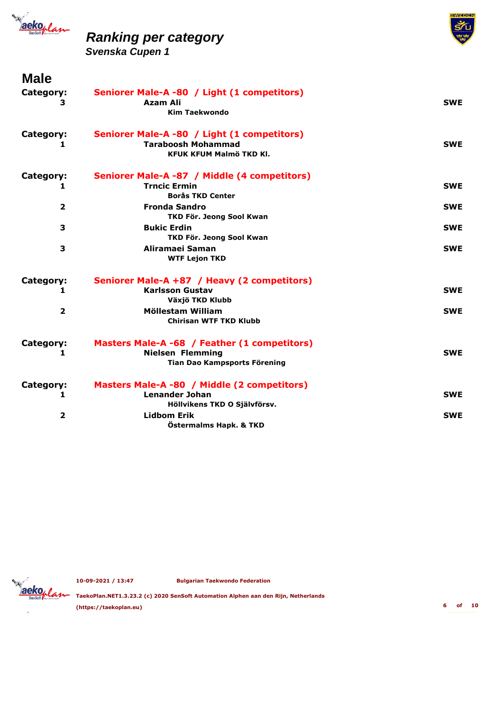

*Svenska Cupen 1*



| <b>Male</b>             |                                              |            |
|-------------------------|----------------------------------------------|------------|
| Category:               | Seniorer Male-A -80 / Light (1 competitors)  |            |
| 3                       | <b>Azam Ali</b>                              | <b>SWE</b> |
|                         | <b>Kim Taekwondo</b>                         |            |
| Category:               | Seniorer Male-A -80 / Light (1 competitors)  |            |
| 1                       | <b>Taraboosh Mohammad</b>                    | <b>SWE</b> |
|                         | <b>KFUK KFUM Malmö TKD Kl.</b>               |            |
| Category:               | Seniorer Male-A -87 / Middle (4 competitors) |            |
| 1                       | <b>Trncic Ermin</b>                          | <b>SWE</b> |
|                         | <b>Borås TKD Center</b>                      |            |
| $\overline{2}$          | <b>Fronda Sandro</b>                         | <b>SWE</b> |
|                         | TKD För. Jeong Sool Kwan                     |            |
| 3                       | <b>Bukic Erdin</b>                           | <b>SWE</b> |
|                         | TKD För. Jeong Sool Kwan                     |            |
| $\overline{\mathbf{3}}$ | Aliramaei Saman<br><b>WTF Lejon TKD</b>      | <b>SWE</b> |
|                         |                                              |            |
| Category:               | Seniorer Male-A +87 / Heavy (2 competitors)  |            |
| 1                       | <b>Karlsson Gustav</b>                       | <b>SWE</b> |
|                         | Växjö TKD Klubb                              |            |
| $\overline{\mathbf{2}}$ | Möllestam William                            | <b>SWE</b> |
|                         | <b>Chirisan WTF TKD Klubb</b>                |            |
| Category:               | Masters Male-A -68 / Feather (1 competitors) |            |
| 1                       | <b>Nielsen Flemming</b>                      | <b>SWE</b> |
|                         | Tian Dao Kampsports Förening                 |            |
| Category:               | Masters Male-A -80 / Middle (2 competitors)  |            |
| 1                       | <b>Lenander Johan</b>                        | <b>SWE</b> |
|                         | Höllvikens TKD O Självförsv.                 |            |
| $\overline{\mathbf{2}}$ | <b>Lidbom Erik</b>                           | <b>SWE</b> |
|                         | Östermalms Hapk. & TKD                       |            |

**10-09-2021 / 13:47 Bulgarian Taekwondo Federation**



**TaekoPlan.NET1.3.23.2 (c) 2020 SenSoft Automation Alphen aan den Rijn, Netherlands (https://taekoplan.eu) 6 of 10**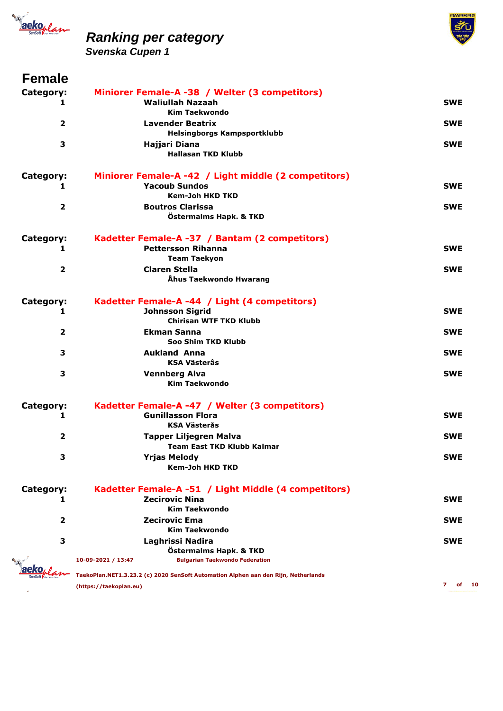





#### **Female**

| Category:               | Miniorer Female-A -38 / Welter (3 competitors)                                     |            |
|-------------------------|------------------------------------------------------------------------------------|------------|
| 1                       | <b>Waliullah Nazaah</b>                                                            | <b>SWE</b> |
|                         | <b>Kim Taekwondo</b>                                                               |            |
| $\overline{2}$          | <b>Lavender Beatrix</b>                                                            | <b>SWE</b> |
|                         | <b>Helsingborgs Kampsportklubb</b>                                                 |            |
| 3                       | Hajjari Diana                                                                      | <b>SWE</b> |
|                         | <b>Hallasan TKD Klubb</b>                                                          |            |
| Category:               | Miniorer Female-A -42 / Light middle (2 competitors)                               |            |
| 1                       | <b>Yacoub Sundos</b>                                                               | <b>SWE</b> |
|                         | <b>Kem-Joh HKD TKD</b>                                                             |            |
| $\overline{\mathbf{2}}$ | <b>Boutros Clarissa</b>                                                            | <b>SWE</b> |
|                         | Östermalms Hapk. & TKD                                                             |            |
| Category:               | Kadetter Female-A -37 / Bantam (2 competitors)                                     |            |
| 1                       | <b>Pettersson Rihanna</b>                                                          | <b>SWE</b> |
|                         | <b>Team Taekyon</b>                                                                |            |
| $\overline{\mathbf{2}}$ | <b>Claren Stella</b>                                                               | <b>SWE</b> |
|                         | Åhus Taekwondo Hwarang                                                             |            |
|                         |                                                                                    |            |
| Category:               | Kadetter Female-A -44 / Light (4 competitors)                                      |            |
| 1                       | <b>Johnsson Sigrid</b>                                                             | <b>SWE</b> |
|                         | <b>Chirisan WTF TKD Klubb</b>                                                      |            |
| $\overline{2}$          | <b>Ekman Sanna</b>                                                                 | <b>SWE</b> |
|                         | Soo Shim TKD Klubb                                                                 |            |
| 3                       | <b>Aukland Anna</b>                                                                | <b>SWE</b> |
|                         | <b>KSA Västerås</b>                                                                |            |
| 3                       | <b>Vennberg Alva</b>                                                               | <b>SWE</b> |
|                         | <b>Kim Taekwondo</b>                                                               |            |
| Category:               | Kadetter Female-A -47 / Welter (3 competitors)                                     |            |
| 1                       | <b>Gunillasson Flora</b>                                                           | <b>SWE</b> |
|                         | <b>KSA Västerås</b>                                                                |            |
| $\overline{2}$          | <b>Tapper Liljegren Malva</b>                                                      | <b>SWE</b> |
|                         | <b>Team East TKD Klubb Kalmar</b>                                                  |            |
| З                       | <b>Yrjas Melody</b>                                                                | <b>SWE</b> |
|                         | <b>Kem-Joh HKD TKD</b>                                                             |            |
| Category:               | Kadetter Female-A -51 / Light Middle (4 competitors)                               |            |
| 1                       | <b>Zecirovic Nina</b>                                                              | SWE        |
|                         | <b>Kim Taekwondo</b>                                                               |            |
| $\overline{2}$          | Zecirovic Ema                                                                      | <b>SWE</b> |
|                         | <b>Kim Taekwondo</b>                                                               |            |
| 3                       | Laghrissi Nadira                                                                   | SWE        |
|                         | Östermalms Hapk. & TKD                                                             |            |
|                         | 10-09-2021 / 13:47<br><b>Bulgarian Taekwondo Federation</b>                        |            |
|                         |                                                                                    |            |
|                         | TaekoPlan.NET1.3.23.2 (c) 2020 SenSoft Automation Alphen aan den Rijn, Netherlands |            |
|                         | (https://taekoplan.eu)                                                             | 7<br>оf    |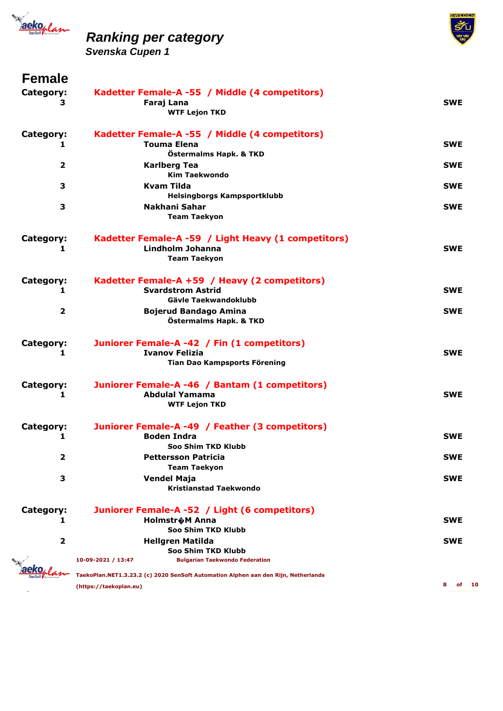



**MEDEN** 

*Svenska Cupen 1*

### **Female**

| Category:<br>3 | Kadetter Female-A -55 / Middle (4 competitors)<br>Faraj Lana<br><b>WTF Lejon TKD</b>                                                              | <b>SWE</b> |
|----------------|---------------------------------------------------------------------------------------------------------------------------------------------------|------------|
| Category:<br>1 | Kadetter Female-A -55 / Middle (4 competitors)<br><b>Touma Elena</b><br>Östermalms Hapk. & TKD                                                    | <b>SWE</b> |
| $\overline{2}$ | <b>Karlberg Tea</b><br><b>Kim Taekwondo</b>                                                                                                       | <b>SWE</b> |
| 3              | <b>Kvam Tilda</b><br><b>Helsingborgs Kampsportklubb</b>                                                                                           | <b>SWE</b> |
| 3              | Nakhani Sahar<br><b>Team Taekyon</b>                                                                                                              | <b>SWE</b> |
| Category:<br>1 | Kadetter Female-A -59 / Light Heavy (1 competitors)<br>Lindholm Johanna<br><b>Team Taekyon</b>                                                    | <b>SWE</b> |
| Category:<br>1 | Kadetter Female-A +59 / Heavy (2 competitors)<br><b>Svardstrom Astrid</b><br>Gävle Taekwandoklubb                                                 | <b>SWE</b> |
| 2              | <b>Bojerud Bandago Amina</b><br>Östermalms Hapk. & TKD                                                                                            | <b>SWE</b> |
| Category:<br>1 | Juniorer Female-A -42 / Fin (1 competitors)<br><b>Ivanov Felizia</b><br>Tian Dao Kampsports Förening                                              | <b>SWE</b> |
| Category:<br>1 | Juniorer Female-A -46 / Bantam (1 competitors)<br><b>Abdulal Yamama</b><br><b>WTF Lejon TKD</b>                                                   | <b>SWE</b> |
| Category:<br>1 | Juniorer Female-A -49 / Feather (3 competitors)<br><b>Boden Indra</b><br><b>Soo Shim TKD Klubb</b>                                                | <b>SWE</b> |
| $\mathbf{z}$   | <b>Pettersson Patricia</b><br><b>Team Taekyon</b>                                                                                                 | <b>SWE</b> |
| з              | <b>Vendel Maja</b><br><b>Kristianstad Taekwondo</b>                                                                                               | SWE        |
| Category:<br>1 | Juniorer Female-A -52 / Light (6 competitors)<br><b>Holmstr</b> �M Anna<br>Soo Shim TKD Klubb                                                     | <b>SWE</b> |
| $\mathbf{z}$   | <b>Hellgren Matilda</b><br>Soo Shim TKD Klubb                                                                                                     | <b>SWE</b> |
|                | 10-09-2021 / 13:47<br><b>Bulgarian Taekwondo Federation</b><br>TaekoPlan.NET1.3.23.2 (c) 2020 SenSoft Automation Alphen aan den Rijn, Netherlands |            |
|                | (https://taekoplan.eu)                                                                                                                            | 8<br>оf    |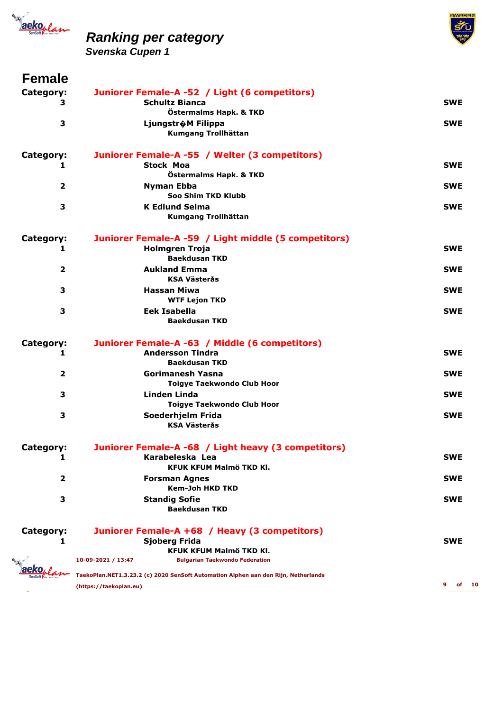



*Svenska Cupen 1*

#### **Female**

| Category:               | Juniorer Female-A -52 / Light (6 competitors)                                      |                 |
|-------------------------|------------------------------------------------------------------------------------|-----------------|
| 3                       | <b>Schultz Bianca</b>                                                              | <b>SWE</b>      |
|                         | Östermalms Hapk. & TKD                                                             |                 |
| 3                       | Ljungstr�M Filippa                                                                 | <b>SWE</b>      |
|                         | Kumgang Trollhättan                                                                |                 |
|                         |                                                                                    |                 |
| Category:               | Juniorer Female-A -55 / Welter (3 competitors)                                     | <b>SWE</b>      |
| 1                       | <b>Stock Moa</b><br>Östermalms Hapk. & TKD                                         |                 |
| $\overline{\mathbf{2}}$ |                                                                                    | <b>SWE</b>      |
|                         | <b>Nyman Ebba</b><br>Soo Shim TKD Klubb                                            |                 |
| 3                       | <b>K Edlund Selma</b>                                                              | <b>SWE</b>      |
|                         | Kumgang Trollhättan                                                                |                 |
|                         |                                                                                    |                 |
| Category:               | Juniorer Female-A -59 / Light middle (5 competitors)                               |                 |
| 1                       | <b>Holmgren Troja</b><br><b>Baekdusan TKD</b>                                      | <b>SWE</b>      |
|                         | <b>Aukland Emma</b>                                                                |                 |
| 2                       | <b>KSA Västerås</b>                                                                | <b>SWE</b>      |
| 3                       | <b>Hassan Miwa</b>                                                                 | <b>SWE</b>      |
|                         | <b>WTF Lejon TKD</b>                                                               |                 |
| 3                       | Eek Isabella                                                                       | <b>SWE</b>      |
|                         | <b>Baekdusan TKD</b>                                                               |                 |
|                         |                                                                                    |                 |
| Category:               | Juniorer Female-A -63 / Middle (6 competitors)                                     |                 |
| 1                       | <b>Andersson Tindra</b>                                                            | <b>SWE</b>      |
|                         | <b>Baekdusan TKD</b>                                                               |                 |
| $\overline{\mathbf{2}}$ | <b>Gorimanesh Yasna</b>                                                            | <b>SWE</b>      |
|                         | <b>Toigye Taekwondo Club Hoor</b>                                                  |                 |
| 3                       | <b>Linden Linda</b>                                                                | <b>SWE</b>      |
|                         | <b>Toigye Taekwondo Club Hoor</b>                                                  |                 |
| 3                       | Soederhjelm Frida                                                                  | <b>SWE</b>      |
|                         | <b>KSA Västerås</b>                                                                |                 |
| Category:               | Juniorer Female-A -68 / Light heavy (3 competitors)                                |                 |
| 1                       | Karabeleska Lea                                                                    | <b>SWE</b>      |
|                         | KFUK KFUM Malmö TKD Kl.                                                            |                 |
| $\overline{\mathbf{2}}$ | <b>Forsman Agnes</b>                                                               | <b>SWE</b>      |
|                         | <b>Kem-Joh HKD TKD</b>                                                             |                 |
| 3                       | <b>Standig Sofie</b>                                                               | <b>SWE</b>      |
|                         | <b>Baekdusan TKD</b>                                                               |                 |
| Category:               | Juniorer Female-A +68 / Heavy (3 competitors)                                      |                 |
| 1                       | <b>Sjoberg Frida</b>                                                               | <b>SWE</b>      |
|                         | KFUK KFUM Malmö TKD Kl.                                                            |                 |
|                         | 10-09-2021 / 13:47<br><b>Bulgarian Taekwondo Federation</b>                        |                 |
|                         | TaekoPlan.NET1.3.23.2 (c) 2020 SenSoft Automation Alphen aan den Rijn, Netherlands |                 |
|                         | (https://taekoplan.eu)                                                             | 9<br>оf<br>- 10 |
|                         |                                                                                    |                 |